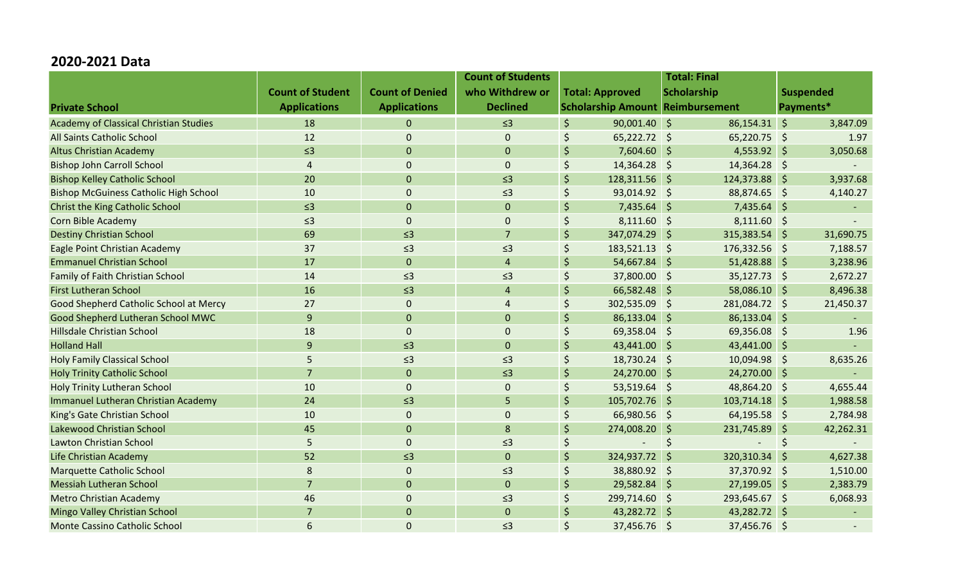## **2020-2021 Data**

|                                               |                         |                        | <b>Count of Students</b> |                                              |                                         | <b>Total: Final</b> |                |     |                     |
|-----------------------------------------------|-------------------------|------------------------|--------------------------|----------------------------------------------|-----------------------------------------|---------------------|----------------|-----|---------------------|
|                                               | <b>Count of Student</b> | <b>Count of Denied</b> | who Withdrew or          | <b>Scholarship</b><br><b>Total: Approved</b> |                                         | <b>Suspended</b>    |                |     |                     |
| <b>Private School</b>                         | <b>Applications</b>     | <b>Applications</b>    | <b>Declined</b>          |                                              | <b>Scholarship Amount Reimbursement</b> |                     |                |     | Payments*           |
| <b>Academy of Classical Christian Studies</b> | 18                      | $\mathbf 0$            | $\leq$ 3                 | $\frac{1}{2}$                                | $90,001.40$ \$                          |                     | 86,154.31 \$   |     | 3,847.09            |
| All Saints Catholic School                    | 12                      | $\overline{0}$         | $\mathbf 0$              | \$                                           | $65,222.72$ \$                          |                     | 65,220.75 \$   |     | 1.97                |
| <b>Altus Christian Academy</b>                | $\leq$ 3                | $\mathbf 0$            | $\mathbf 0$              | $\zeta$                                      | $7,604.60$ \$                           |                     | $4,553.92$ \$  |     | 3,050.68            |
| <b>Bishop John Carroll School</b>             | $\overline{4}$          | $\mathbf 0$            | $\mathbf 0$              | \$                                           | 14,364.28 \$                            |                     | 14,364.28 \$   |     |                     |
| <b>Bishop Kelley Catholic School</b>          | 20                      | $\mathbf{0}$           | $\leq$ 3                 | $\zeta$                                      | 128,311.56 \$                           |                     | 124,373.88 \$  |     | 3,937.68            |
| <b>Bishop McGuiness Catholic High School</b>  | 10                      | $\mathbf 0$            | $\leq$ 3                 | $\zeta$                                      | 93,014.92 \$                            |                     | 88,874.65 \$   |     | 4,140.27            |
| <b>Christ the King Catholic School</b>        | $\leq$ 3                | $\mathbf 0$            | $\mathbf 0$              | $\zeta$                                      | $7,435.64$ \$                           |                     | $7,435.64$ \$  |     | $\sim$              |
| Corn Bible Academy                            | $\leq$ 3                | $\mathbf 0$            | $\mathbf 0$              | \$                                           | $8,111.60$ \$                           |                     | $8,111.60$ \$  |     |                     |
| <b>Destiny Christian School</b>               | 69                      | $\leq$ 3               | $\overline{7}$           | $\zeta$                                      | 347,074.29 \$                           |                     | 315,383.54 \$  |     | 31,690.75           |
| Eagle Point Christian Academy                 | 37                      | $\leq$ 3               | $\leq$ 3                 | $\zeta$                                      | 183,521.13 \$                           |                     | 176,332.56 \$  |     | 7,188.57            |
| <b>Emmanuel Christian School</b>              | 17                      | $\mathbf 0$            | $\overline{4}$           | $\zeta$                                      | 54,667.84 \$                            |                     | $51,428.88$ \$ |     | 3,238.96            |
| Family of Faith Christian School              | 14                      | $\leq$ 3               | $\leq$ 3                 | \$                                           | 37,800.00 \$                            |                     | $35,127.73$ \$ |     | 2,672.27            |
| <b>First Lutheran School</b>                  | 16                      | $\leq$ 3               | $\overline{4}$           | $\zeta$                                      | $66,582.48$ \$                          |                     | 58,086.10 \$   |     | 8,496.38            |
| Good Shepherd Catholic School at Mercy        | 27                      | $\mathbf 0$            | $\overline{4}$           | $\zeta$                                      | 302,535.09 \$                           |                     | 281,084.72 \$  |     | 21,450.37           |
| Good Shepherd Lutheran School MWC             | 9                       | $\mathbf 0$            | $\overline{0}$           | $\zeta$                                      | 86,133.04 \$                            |                     | 86,133.04 \$   |     | $\sim$              |
| Hillsdale Christian School                    | 18                      | $\mathbf 0$            | $\mathbf 0$              | \$                                           | 69,358.04 \$                            |                     | 69,356.08 \$   |     | 1.96                |
| <b>Holland Hall</b>                           | 9                       | $\leq$ 3               | $\mathbf 0$              | $\zeta$                                      | 43,441.00 \$                            |                     | 43,441.00 \$   |     | $\omega_{\rm{eff}}$ |
| <b>Holy Family Classical School</b>           | 5                       | $\leq$ 3               | $\leq$ 3                 | $\zeta$                                      | 18,730.24 \$                            |                     | 10,094.98 \$   |     | 8,635.26            |
| <b>Holy Trinity Catholic School</b>           | $\overline{7}$          | $\mathbf{0}$           | $\leq$ 3                 | $\zeta$                                      | 24,270.00 \$                            |                     | 24,270.00 \$   |     |                     |
| Holy Trinity Lutheran School                  | 10                      | $\mathbf 0$            | $\mathbf 0$              | \$                                           | 53,519.64 \$                            |                     | 48,864.20 \$   |     | 4,655.44            |
| Immanuel Lutheran Christian Academy           | 24                      | $\leq$ 3               | 5                        | $\zeta$                                      | 105,702.76 \$                           |                     | 103,714.18 \$  |     | 1,988.58            |
| King's Gate Christian School                  | 10                      | $\mathbf 0$            | $\Omega$                 | \$                                           | 66,980.56 \$                            |                     | 64,195.58 \$   |     | 2,784.98            |
| Lakewood Christian School                     | 45                      | $\mathbf{0}$           | 8                        | $\zeta$                                      | 274,008.20 \$                           |                     | 231,745.89 \$  |     | 42,262.31           |
| <b>Lawton Christian School</b>                | 5                       | $\overline{0}$         | $\leq$ 3                 | \$                                           |                                         | $\zeta$             |                | \$  |                     |
| Life Christian Academy                        | 52                      | $\leq$ 3               | $\overline{0}$           | $\zeta$                                      | 324,937.72 \$                           |                     | 320,310.34 \$  |     | 4,627.38            |
| Marquette Catholic School                     | 8                       | $\mathbf 0$            | $\leq$ 3                 | \$                                           | 38,880.92 \$                            |                     | 37,370.92 \$   |     | 1,510.00            |
| <b>Messiah Lutheran School</b>                | $\overline{7}$          | $\mathbf 0$            | $\overline{0}$           | $\zeta$                                      | 29,582.84 \$                            |                     | 27,199.05 \$   |     | 2,383.79            |
| <b>Metro Christian Academy</b>                | 46                      | $\mathbf 0$            | $\leq$ 3                 | \$                                           | 299,714.60 \$                           |                     | 293,645.67 \$  |     | 6,068.93            |
| Mingo Valley Christian School                 | $\overline{7}$          | $\mathbf{0}$           | $\mathbf 0$              | $\zeta$                                      | 43,282.72 \$                            |                     | 43,282.72 \$   |     |                     |
| <b>Monte Cassino Catholic School</b>          | 6                       | $\mathbf 0$            | $\leq$ 3                 | $\zeta$                                      | 37,456.76                               | -\$                 | 37,456.76      | ∣\$ |                     |